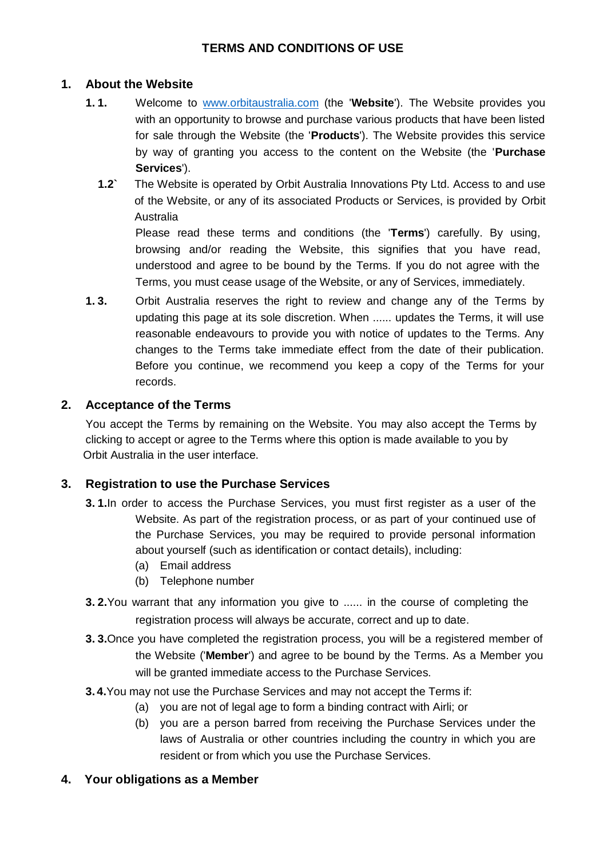# **TERMS AND CONDITIONS OF USE**

### **1. About the Website**

- **1. 1.** Welcome to [www.orbitaustralia.com](http://www.orbitaustralia.co/) (the '**Website**'). The Website provides you with an opportunity to browse and purchase various products that have been listed for sale through the Website (the '**Products**'). The Website provides this service by way of granting you access to the content on the Website (the '**Purchase Services**').
	- **1.2`** The Website is operated by Orbit Australia Innovations Pty Ltd. Access to and use of the Website, or any of its associated Products or Services, is provided by Orbit Australia

Please read these terms and conditions (the '**Terms**') carefully. By using, browsing and/or reading the Website, this signifies that you have read, understood and agree to be bound by the Terms. If you do not agree with the Terms, you must cease usage of the Website, or any of Services, immediately.

**1. 3.** Orbit Australia reserves the right to review and change any of the Terms by updating this page at its sole discretion. When ...... updates the Terms, it will use reasonable endeavours to provide you with notice of updates to the Terms. Any changes to the Terms take immediate effect from the date of their publication. Before you continue, we recommend you keep a copy of the Terms for your records.

#### **2. Acceptance of the Terms**

You accept the Terms by remaining on the Website. You may also accept the Terms by clicking to accept or agree to the Terms where this option is made available to you by Orbit Australia in the user interface.

#### **3. Registration to use the Purchase Services**

- **3. 1.**In order to access the Purchase Services, you must first register as a user of the Website. As part of the registration process, or as part of your continued use of the Purchase Services, you may be required to provide personal information about yourself (such as identification or contact details), including:
	- (a) Email address
	- (b) Telephone number
- **3. 2.**You warrant that any information you give to ...... in the course of completing the registration process will always be accurate, correct and up to date.
- **3. 3.**Once you have completed the registration process, you will be a registered member of the Website ('**Member**') and agree to be bound by the Terms. As a Member you will be granted immediate access to the Purchase Services.
- **3. 4.**You may not use the Purchase Services and may not accept the Terms if:
	- (a) you are not of legal age to form a binding contract with Airli; or
	- (b) you are a person barred from receiving the Purchase Services under the laws of Australia or other countries including the country in which you are resident or from which you use the Purchase Services.
- **4. Your obligations as a Member**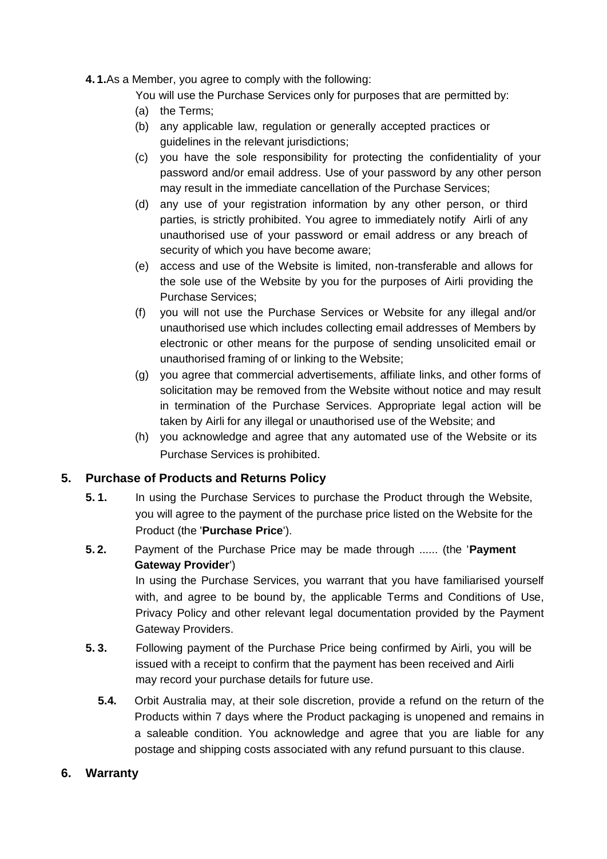**4. 1.**As a Member, you agree to comply with the following:

You will use the Purchase Services only for purposes that are permitted by:

- (a) the Terms;
- (b) any applicable law, regulation or generally accepted practices or guidelines in the relevant jurisdictions;
- (c) you have the sole responsibility for protecting the confidentiality of your password and/or email address. Use of your password by any other person may result in the immediate cancellation of the Purchase Services;
- (d) any use of your registration information by any other person, or third parties, is strictly prohibited. You agree to immediately notify Airli of any unauthorised use of your password or email address or any breach of security of which you have become aware;
- (e) access and use of the Website is limited, non-transferable and allows for the sole use of the Website by you for the purposes of Airli providing the Purchase Services;
- (f) you will not use the Purchase Services or Website for any illegal and/or unauthorised use which includes collecting email addresses of Members by electronic or other means for the purpose of sending unsolicited email or unauthorised framing of or linking to the Website;
- (g) you agree that commercial advertisements, affiliate links, and other forms of solicitation may be removed from the Website without notice and may result in termination of the Purchase Services. Appropriate legal action will be taken by Airli for any illegal or unauthorised use of the Website; and
- (h) you acknowledge and agree that any automated use of the Website or its Purchase Services is prohibited.

# **5. Purchase of Products and Returns Policy**

- **5. 1.** In using the Purchase Services to purchase the Product through the Website, you will agree to the payment of the purchase price listed on the Website for the Product (the '**Purchase Price**').
- **5. 2.** Payment of the Purchase Price may be made through ...... (the '**Payment Gateway Provider**')

In using the Purchase Services, you warrant that you have familiarised yourself with, and agree to be bound by, the applicable Terms and Conditions of Use, Privacy Policy and other relevant legal documentation provided by the Payment Gateway Providers.

- **5. 3.** Following payment of the Purchase Price being confirmed by Airli, you will be issued with a receipt to confirm that the payment has been received and Airli may record your purchase details for future use.
	- **5.4.** Orbit Australia may, at their sole discretion, provide a refund on the return of the Products within 7 days where the Product packaging is unopened and remains in a saleable condition. You acknowledge and agree that you are liable for any postage and shipping costs associated with any refund pursuant to this clause.

#### **6. Warranty**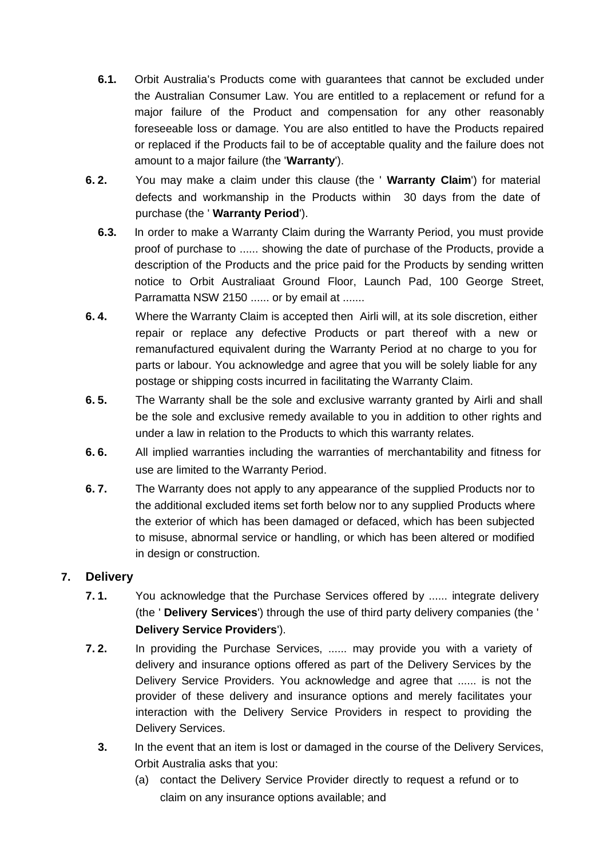- **6.1.** Orbit Australia's Products come with guarantees that cannot be excluded under the Australian Consumer Law. You are entitled to a replacement or refund for a major failure of the Product and compensation for any other reasonably foreseeable loss or damage. You are also entitled to have the Products repaired or replaced if the Products fail to be of acceptable quality and the failure does not amount to a major failure (the '**Warranty**').
- **6. 2.** You may make a claim under this clause (the ' **Warranty Claim**') for material defects and workmanship in the Products within 30 days from the date of purchase (the ' **Warranty Period**').
	- **6.3.** In order to make a Warranty Claim during the Warranty Period, you must provide proof of purchase to ...... showing the date of purchase of the Products, provide a description of the Products and the price paid for the Products by sending written notice to Orbit Australiaat Ground Floor, Launch Pad, 100 George Street, Parramatta NSW 2150 ...... or by email at .......
- **6. 4.** Where the Warranty Claim is accepted then Airli will, at its sole discretion, either repair or replace any defective Products or part thereof with a new or remanufactured equivalent during the Warranty Period at no charge to you for parts or labour. You acknowledge and agree that you will be solely liable for any postage or shipping costs incurred in facilitating the Warranty Claim.
- **6. 5.** The Warranty shall be the sole and exclusive warranty granted by Airli and shall be the sole and exclusive remedy available to you in addition to other rights and under a law in relation to the Products to which this warranty relates.
- **6. 6.** All implied warranties including the warranties of merchantability and fitness for use are limited to the Warranty Period.
- **6. 7.** The Warranty does not apply to any appearance of the supplied Products nor to the additional excluded items set forth below nor to any supplied Products where the exterior of which has been damaged or defaced, which has been subjected to misuse, abnormal service or handling, or which has been altered or modified in design or construction.

# **7. Delivery**

- **7. 1.** You acknowledge that the Purchase Services offered by ...... integrate delivery (the ' **Delivery Services**') through the use of third party delivery companies (the ' **Delivery Service Providers**').
- **7. 2.** In providing the Purchase Services, ...... may provide you with a variety of delivery and insurance options offered as part of the Delivery Services by the Delivery Service Providers. You acknowledge and agree that ...... is not the provider of these delivery and insurance options and merely facilitates your interaction with the Delivery Service Providers in respect to providing the Delivery Services.
	- **3.** In the event that an item is lost or damaged in the course of the Delivery Services, Orbit Australia asks that you:
		- (a) contact the Delivery Service Provider directly to request a refund or to claim on any insurance options available; and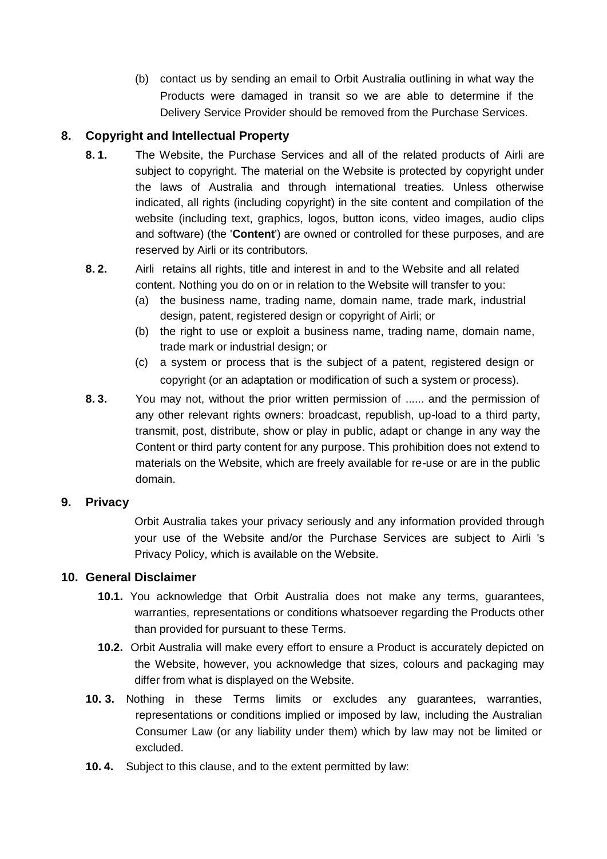(b) contact us by sending an email to Orbit Australia outlining in what way the Products were damaged in transit so we are able to determine if the Delivery Service Provider should be removed from the Purchase Services.

# **8. Copyright and Intellectual Property**

- **8. 1.** The Website, the Purchase Services and all of the related products of Airli are subject to copyright. The material on the Website is protected by copyright under the laws of Australia and through international treaties. Unless otherwise indicated, all rights (including copyright) in the site content and compilation of the website (including text, graphics, logos, button icons, video images, audio clips and software) (the '**Content**') are owned or controlled for these purposes, and are reserved by Airli or its contributors.
- **8. 2.** Airli retains all rights, title and interest in and to the Website and all related content. Nothing you do on or in relation to the Website will transfer to you:
	- (a) the business name, trading name, domain name, trade mark, industrial design, patent, registered design or copyright of Airli; or
	- (b) the right to use or exploit a business name, trading name, domain name, trade mark or industrial design; or
	- (c) a system or process that is the subject of a patent, registered design or copyright (or an adaptation or modification of such a system or process).
- **8. 3.** You may not, without the prior written permission of ...... and the permission of any other relevant rights owners: broadcast, republish, up-load to a third party, transmit, post, distribute, show or play in public, adapt or change in any way the Content or third party content for any purpose. This prohibition does not extend to materials on the Website, which are freely available for re-use or are in the public domain.

#### **9. Privacy**

Orbit Australia takes your privacy seriously and any information provided through your use of the Website and/or the Purchase Services are subject to Airli 's Privacy Policy, which is available on the Website.

# **10. General Disclaimer**

- **10.1.** You acknowledge that Orbit Australia does not make any terms, guarantees, warranties, representations or conditions whatsoever regarding the Products other than provided for pursuant to these Terms.
- **10.2.** Orbit Australia will make every effort to ensure a Product is accurately depicted on the Website, however, you acknowledge that sizes, colours and packaging may differ from what is displayed on the Website.
- **10. 3.** Nothing in these Terms limits or excludes any guarantees, warranties, representations or conditions implied or imposed by law, including the Australian Consumer Law (or any liability under them) which by law may not be limited or excluded.
- **10. 4.** Subject to this clause, and to the extent permitted by law: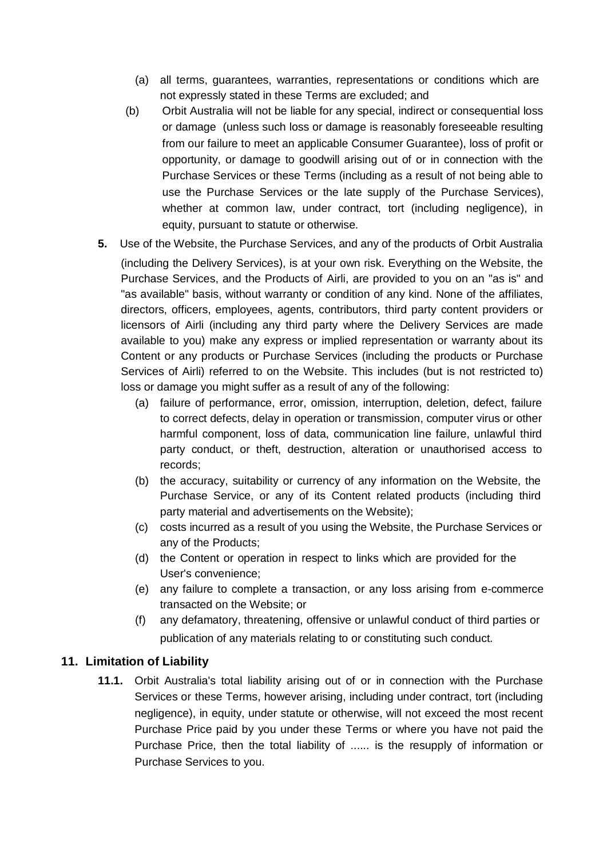- (a) all terms, guarantees, warranties, representations or conditions which are not expressly stated in these Terms are excluded; and
- (b) Orbit Australia will not be liable for any special, indirect or consequential loss or damage (unless such loss or damage is reasonably foreseeable resulting from our failure to meet an applicable Consumer Guarantee), loss of profit or opportunity, or damage to goodwill arising out of or in connection with the Purchase Services or these Terms (including as a result of not being able to use the Purchase Services or the late supply of the Purchase Services), whether at common law, under contract, tort (including negligence), in equity, pursuant to statute or otherwise.
- **5.** Use of the Website, the Purchase Services, and any of the products of Orbit Australia (including the Delivery Services), is at your own risk. Everything on the Website, the Purchase Services, and the Products of Airli, are provided to you on an "as is" and "as available" basis, without warranty or condition of any kind. None of the affiliates, directors, officers, employees, agents, contributors, third party content providers or licensors of Airli (including any third party where the Delivery Services are made available to you) make any express or implied representation or warranty about its Content or any products or Purchase Services (including the products or Purchase Services of Airli) referred to on the Website. This includes (but is not restricted to) loss or damage you might suffer as a result of any of the following:
	- (a) failure of performance, error, omission, interruption, deletion, defect, failure to correct defects, delay in operation or transmission, computer virus or other harmful component, loss of data, communication line failure, unlawful third party conduct, or theft, destruction, alteration or unauthorised access to records;
	- (b) the accuracy, suitability or currency of any information on the Website, the Purchase Service, or any of its Content related products (including third party material and advertisements on the Website);
	- (c) costs incurred as a result of you using the Website, the Purchase Services or any of the Products;
	- (d) the Content or operation in respect to links which are provided for the User's convenience;
	- (e) any failure to complete a transaction, or any loss arising from e-commerce transacted on the Website; or
	- (f) any defamatory, threatening, offensive or unlawful conduct of third parties or publication of any materials relating to or constituting such conduct.

#### **11. Limitation of Liability**

**11.1.** Orbit Australia's total liability arising out of or in connection with the Purchase Services or these Terms, however arising, including under contract, tort (including negligence), in equity, under statute or otherwise, will not exceed the most recent Purchase Price paid by you under these Terms or where you have not paid the Purchase Price, then the total liability of ...... is the resupply of information or Purchase Services to you.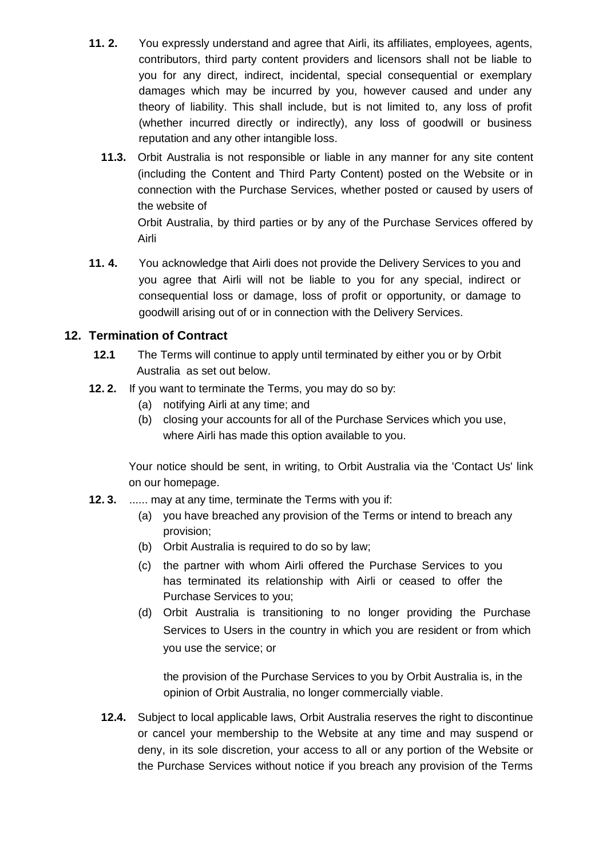- **11. 2.** You expressly understand and agree that Airli, its affiliates, employees, agents, contributors, third party content providers and licensors shall not be liable to you for any direct, indirect, incidental, special consequential or exemplary damages which may be incurred by you, however caused and under any theory of liability. This shall include, but is not limited to, any loss of profit (whether incurred directly or indirectly), any loss of goodwill or business reputation and any other intangible loss.
	- **11.3.** Orbit Australia is not responsible or liable in any manner for any site content (including the Content and Third Party Content) posted on the Website or in connection with the Purchase Services, whether posted or caused by users of the website of Orbit Australia, by third parties or by any of the Purchase Services offered by

Airli

**11. 4.** You acknowledge that Airli does not provide the Delivery Services to you and you agree that Airli will not be liable to you for any special, indirect or consequential loss or damage, loss of profit or opportunity, or damage to goodwill arising out of or in connection with the Delivery Services.

# **12. Termination of Contract**

- **12.1** The Terms will continue to apply until terminated by either you or by Orbit Australia as set out below.
- **12. 2.** If you want to terminate the Terms, you may do so by:
	- (a) notifying Airli at any time; and
	- (b) closing your accounts for all of the Purchase Services which you use, where Airli has made this option available to you.

Your notice should be sent, in writing, to Orbit Australia via the 'Contact Us' link on our homepage.

- **12. 3.** ...... may at any time, terminate the Terms with you if:
	- (a) you have breached any provision of the Terms or intend to breach any provision;
	- (b) Orbit Australia is required to do so by law;
	- (c) the partner with whom Airli offered the Purchase Services to you has terminated its relationship with Airli or ceased to offer the Purchase Services to you;
	- (d) Orbit Australia is transitioning to no longer providing the Purchase Services to Users in the country in which you are resident or from which you use the service; or

 the provision of the Purchase Services to you by Orbit Australia is, in the opinion of Orbit Australia, no longer commercially viable.

**12.4.** Subject to local applicable laws, Orbit Australia reserves the right to discontinue or cancel your membership to the Website at any time and may suspend or deny, in its sole discretion, your access to all or any portion of the Website or the Purchase Services without notice if you breach any provision of the Terms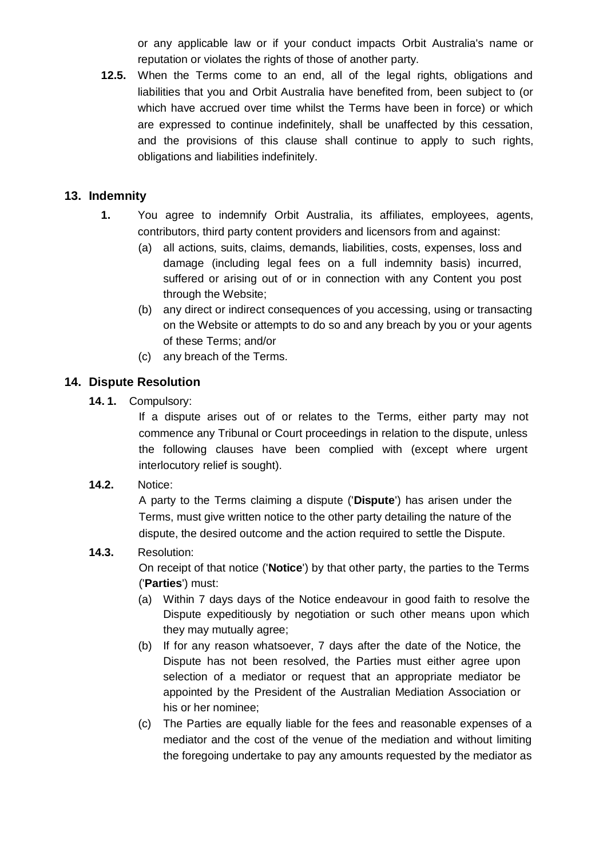or any applicable law or if your conduct impacts Orbit Australia's name or reputation or violates the rights of those of another party.

**12.5.** When the Terms come to an end, all of the legal rights, obligations and liabilities that you and Orbit Australia have benefited from, been subject to (or which have accrued over time whilst the Terms have been in force) or which are expressed to continue indefinitely, shall be unaffected by this cessation, and the provisions of this clause shall continue to apply to such rights, obligations and liabilities indefinitely.

# **13. Indemnity**

- **1.** You agree to indemnify Orbit Australia, its affiliates, employees, agents, contributors, third party content providers and licensors from and against:
	- (a) all actions, suits, claims, demands, liabilities, costs, expenses, loss and damage (including legal fees on a full indemnity basis) incurred, suffered or arising out of or in connection with any Content you post through the Website;
	- (b) any direct or indirect consequences of you accessing, using or transacting on the Website or attempts to do so and any breach by you or your agents of these Terms; and/or
	- (c) any breach of the Terms.

# **14. Dispute Resolution**

**14. 1.** Compulsory:

If a dispute arises out of or relates to the Terms, either party may not commence any Tribunal or Court proceedings in relation to the dispute, unless the following clauses have been complied with (except where urgent interlocutory relief is sought).

**14.2.** Notice:

A party to the Terms claiming a dispute ('**Dispute**') has arisen under the Terms, must give written notice to the other party detailing the nature of the dispute, the desired outcome and the action required to settle the Dispute.

# **14.3.** Resolution:

On receipt of that notice ('**Notice**') by that other party, the parties to the Terms ('**Parties**') must:

- (a) Within 7 days days of the Notice endeavour in good faith to resolve the Dispute expeditiously by negotiation or such other means upon which they may mutually agree;
- (b) If for any reason whatsoever, 7 days after the date of the Notice, the Dispute has not been resolved, the Parties must either agree upon selection of a mediator or request that an appropriate mediator be appointed by the President of the Australian Mediation Association or his or her nominee;
- (c) The Parties are equally liable for the fees and reasonable expenses of a mediator and the cost of the venue of the mediation and without limiting the foregoing undertake to pay any amounts requested by the mediator as